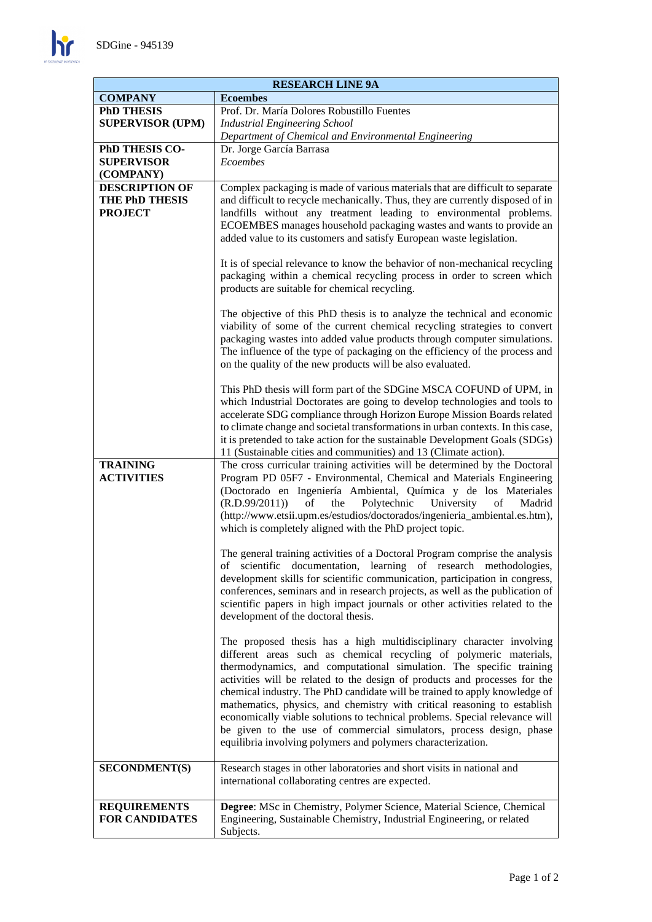$\mathbf{h}$ 

| <b>RESEARCH LINE 9A</b>                                          |                                                                                                                                                                                                                                                                                                                                                                                                                                                                                                                                                                                                                                                                                                                                                                                                                                                                                                                                                                                   |
|------------------------------------------------------------------|-----------------------------------------------------------------------------------------------------------------------------------------------------------------------------------------------------------------------------------------------------------------------------------------------------------------------------------------------------------------------------------------------------------------------------------------------------------------------------------------------------------------------------------------------------------------------------------------------------------------------------------------------------------------------------------------------------------------------------------------------------------------------------------------------------------------------------------------------------------------------------------------------------------------------------------------------------------------------------------|
| <b>COMPANY</b>                                                   | <b>Ecoembes</b>                                                                                                                                                                                                                                                                                                                                                                                                                                                                                                                                                                                                                                                                                                                                                                                                                                                                                                                                                                   |
| <b>PhD THESIS</b>                                                | Prof. Dr. María Dolores Robustillo Fuentes                                                                                                                                                                                                                                                                                                                                                                                                                                                                                                                                                                                                                                                                                                                                                                                                                                                                                                                                        |
| <b>SUPERVISOR (UPM)</b>                                          | <b>Industrial Engineering School</b>                                                                                                                                                                                                                                                                                                                                                                                                                                                                                                                                                                                                                                                                                                                                                                                                                                                                                                                                              |
|                                                                  | Department of Chemical and Environmental Engineering                                                                                                                                                                                                                                                                                                                                                                                                                                                                                                                                                                                                                                                                                                                                                                                                                                                                                                                              |
| PhD THESIS CO-<br><b>SUPERVISOR</b><br>(COMPANY)                 | Dr. Jorge García Barrasa<br>Ecoembes                                                                                                                                                                                                                                                                                                                                                                                                                                                                                                                                                                                                                                                                                                                                                                                                                                                                                                                                              |
| <b>DESCRIPTION OF</b><br><b>THE PhD THESIS</b><br><b>PROJECT</b> | Complex packaging is made of various materials that are difficult to separate<br>and difficult to recycle mechanically. Thus, they are currently disposed of in<br>landfills without any treatment leading to environmental problems.<br>ECOEMBES manages household packaging wastes and wants to provide an<br>added value to its customers and satisfy European waste legislation.<br>It is of special relevance to know the behavior of non-mechanical recycling<br>packaging within a chemical recycling process in order to screen which<br>products are suitable for chemical recycling.<br>The objective of this PhD thesis is to analyze the technical and economic<br>viability of some of the current chemical recycling strategies to convert<br>packaging wastes into added value products through computer simulations.<br>The influence of the type of packaging on the efficiency of the process and<br>on the quality of the new products will be also evaluated. |
| <b>TRAINING</b><br><b>ACTIVITIES</b>                             | This PhD thesis will form part of the SDGine MSCA COFUND of UPM, in<br>which Industrial Doctorates are going to develop technologies and tools to<br>accelerate SDG compliance through Horizon Europe Mission Boards related<br>to climate change and societal transformations in urban contexts. In this case,<br>it is pretended to take action for the sustainable Development Goals (SDGs)<br>11 (Sustainable cities and communities) and 13 (Climate action).<br>The cross curricular training activities will be determined by the Doctoral<br>Program PD 05F7 - Environmental, Chemical and Materials Engineering<br>(Doctorado en Ingeniería Ambiental, Química y de los Materiales<br>of<br>the<br>Polytechnic<br>University<br>(R.D.99/2011))<br>of<br>Madrid<br>(http://www.etsii.upm.es/estudios/doctorados/ingenieria_ambiental.es.htm),<br>which is completely aligned with the PhD project topic.                                                                  |
|                                                                  | The general training activities of a Doctoral Program comprise the analysis<br>of scientific documentation, learning of research methodologies,<br>development skills for scientific communication, participation in congress,<br>conferences, seminars and in research projects, as well as the publication of<br>scientific papers in high impact journals or other activities related to the<br>development of the doctoral thesis.<br>The proposed thesis has a high multidisciplinary character involving                                                                                                                                                                                                                                                                                                                                                                                                                                                                    |
|                                                                  | different areas such as chemical recycling of polymeric materials,<br>thermodynamics, and computational simulation. The specific training<br>activities will be related to the design of products and processes for the<br>chemical industry. The PhD candidate will be trained to apply knowledge of<br>mathematics, physics, and chemistry with critical reasoning to establish<br>economically viable solutions to technical problems. Special relevance will<br>be given to the use of commercial simulators, process design, phase<br>equilibria involving polymers and polymers characterization.                                                                                                                                                                                                                                                                                                                                                                           |
| <b>SECONDMENT(S)</b>                                             | Research stages in other laboratories and short visits in national and<br>international collaborating centres are expected.                                                                                                                                                                                                                                                                                                                                                                                                                                                                                                                                                                                                                                                                                                                                                                                                                                                       |
| <b>REQUIREMENTS</b><br><b>FOR CANDIDATES</b>                     | Degree: MSc in Chemistry, Polymer Science, Material Science, Chemical<br>Engineering, Sustainable Chemistry, Industrial Engineering, or related<br>Subjects.                                                                                                                                                                                                                                                                                                                                                                                                                                                                                                                                                                                                                                                                                                                                                                                                                      |